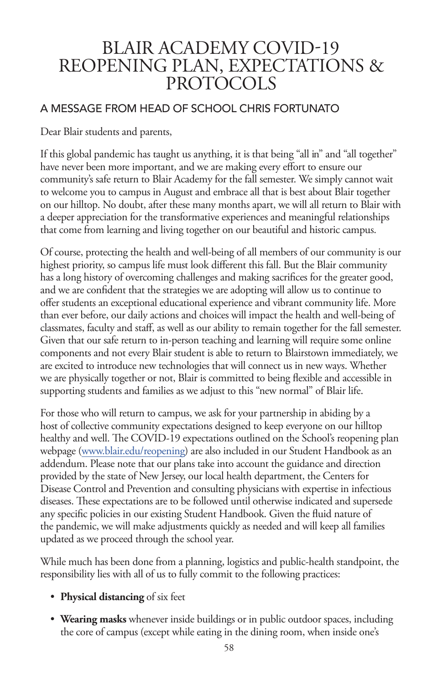## BLAIR ACADEMY COVID-19 REOPENING PLAN, EXPECTATIONS & PROTOCOLS

#### A MESSAGE FROM HEAD OF SCHOOL CHRIS FORTUNATO

Dear Blair students and parents,

If this global pandemic has taught us anything, it is that being "all in" and "all together" have never been more important, and we are making every effort to ensure our community's safe return to Blair Academy for the fall semester. We simply cannot wait to welcome you to campus in August and embrace all that is best about Blair together on our hilltop. No doubt, after these many months apart, we will all return to Blair with a deeper appreciation for the transformative experiences and meaningful relationships that come from learning and living together on our beautiful and historic campus.

Of course, protecting the health and well-being of all members of our community is our highest priority, so campus life must look different this fall. But the Blair community has a long history of overcoming challenges and making sacrifices for the greater good, and we are confident that the strategies we are adopting will allow us to continue to offer students an exceptional educational experience and vibrant community life. More than ever before, our daily actions and choices will impact the health and well-being of classmates, faculty and staff, as well as our ability to remain together for the fall semester. Given that our safe return to in-person teaching and learning will require some online components and not every Blair student is able to return to Blairstown immediately, we are excited to introduce new technologies that will connect us in new ways. Whether we are physically together or not, Blair is committed to being flexible and accessible in supporting students and families as we adjust to this "new normal" of Blair life.

For those who will return to campus, we ask for your partnership in abiding by a host of collective community expectations designed to keep everyone on our hilltop healthy and well. The COVID-19 expectations outlined on the School's reopening plan webpage (www.blair.edu/reopening) are also included in our Student Handbook as an addendum. Please note that our plans take into account the guidance and direction provided by the state of New Jersey, our local health department, the Centers for Disease Control and Prevention and consulting physicians with expertise in infectious diseases. These expectations are to be followed until otherwise indicated and supersede any specific policies in our existing Student Handbook. Given the fluid nature of the pandemic, we will make adjustments quickly as needed and will keep all families updated as we proceed through the school year.

While much has been done from a planning, logistics and public-health standpoint, the responsibility lies with all of us to fully commit to the following practices:

- **Physical distancing** of six feet
- **Wearing masks** whenever inside buildings or in public outdoor spaces, including the core of campus (except while eating in the dining room, when inside one's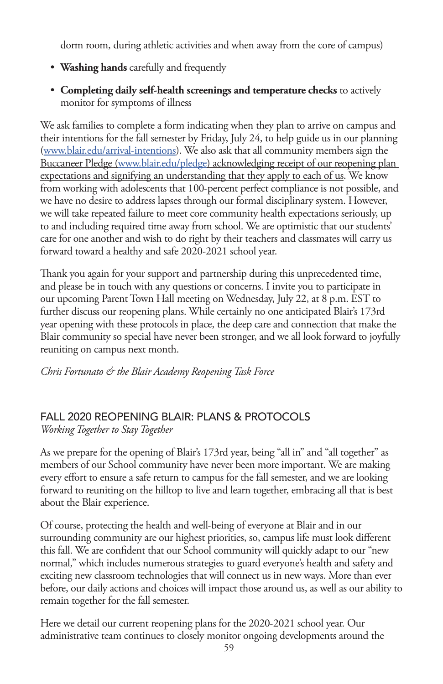dorm room, during athletic activities and when away from the core of campus)

- **Washing hands** carefully and frequently
- **Completing daily self-health screenings and temperature checks** to actively monitor for symptoms of illness

We ask families to complete a form indicating when they plan to arrive on campus and their intentions for the fall semester by Friday, July 24, to help guide us in our planning (www.blair.edu/arrival-intentions). We also ask that all community members sign the Buccaneer Pledge (www.blair.edu/pledge) acknowledging receipt of our reopening plan expectations and signifying an understanding that they apply to each of us. We know from working with adolescents that 100-percent perfect compliance is not possible, and we have no desire to address lapses through our formal disciplinary system. However, we will take repeated failure to meet core community health expectations seriously, up to and including required time away from school. We are optimistic that our students' care for one another and wish to do right by their teachers and classmates will carry us forward toward a healthy and safe 2020-2021 school year.

Thank you again for your support and partnership during this unprecedented time, and please be in touch with any questions or concerns. I invite you to participate in our upcoming Parent Town Hall meeting on Wednesday, July 22, at 8 p.m. EST to further discuss our reopening plans. While certainly no one anticipated Blair's 173rd year opening with these protocols in place, the deep care and connection that make the Blair community so special have never been stronger, and we all look forward to joyfully reuniting on campus next month.

*Chris Fortunato & the Blair Academy Reopening Task Force*

### FALL 2020 REOPENING BLAIR: PLANS & PROTOCOLS

*Working Together to Stay Together*

As we prepare for the opening of Blair's 173rd year, being "all in" and "all together" as members of our School community have never been more important. We are making every effort to ensure a safe return to campus for the fall semester, and we are looking forward to reuniting on the hilltop to live and learn together, embracing all that is best about the Blair experience.

Of course, protecting the health and well-being of everyone at Blair and in our surrounding community are our highest priorities, so, campus life must look different this fall. We are confident that our School community will quickly adapt to our "new normal," which includes numerous strategies to guard everyone's health and safety and exciting new classroom technologies that will connect us in new ways. More than ever before, our daily actions and choices will impact those around us, as well as our ability to remain together for the fall semester.

Here we detail our current reopening plans for the 2020-2021 school year. Our administrative team continues to closely monitor ongoing developments around the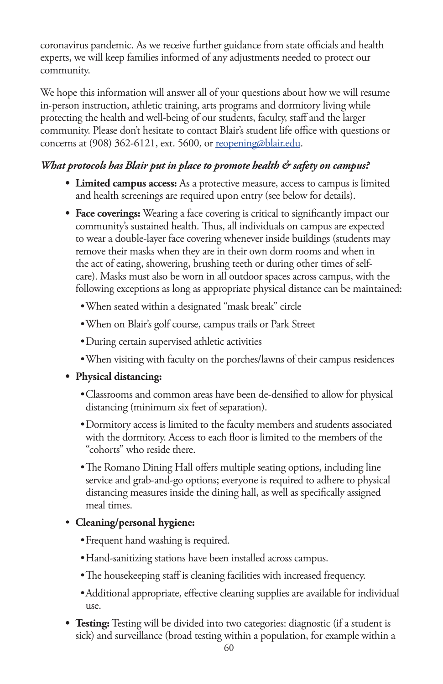coronavirus pandemic. As we receive further guidance from state officials and health experts, we will keep families informed of any adjustments needed to protect our community.

We hope this information will answer all of your questions about how we will resume in-person instruction, athletic training, arts programs and dormitory living while protecting the health and well-being of our students, faculty, staff and the larger community. Please don't hesitate to contact Blair's student life office with questions or concerns at (908) 362-6121, ext. 5600, or reopening@blair.edu.

#### *What protocols has Blair put in place to promote health & safety on campus?*

- **• Limited campus access:** As a protective measure, access to campus is limited and health screenings are required upon entry (see below for details).
- **• Face coverings:** Wearing a face covering is critical to significantly impact our community's sustained health. Thus, all individuals on campus are expected to wear a double-layer face covering whenever inside buildings (students may remove their masks when they are in their own dorm rooms and when in the act of eating, showering, brushing teeth or during other times of selfcare). Masks must also be worn in all outdoor spaces across campus, with the following exceptions as long as appropriate physical distance can be maintained:
	- •When seated within a designated "mask break" circle
	- •When on Blair's golf course, campus trails or Park Street
	- •During certain supervised athletic activities
	- •When visiting with faculty on the porches/lawns of their campus residences
- **• Physical distancing:**
	- •Classrooms and common areas have been de-densified to allow for physical distancing (minimum six feet of separation).
	- •Dormitory access is limited to the faculty members and students associated with the dormitory. Access to each floor is limited to the members of the "cohorts" who reside there.
	- •The Romano Dining Hall offers multiple seating options, including line service and grab-and-go options; everyone is required to adhere to physical distancing measures inside the dining hall, as well as specifically assigned meal times.
- **Cleaning/personal hygiene:**
	- •Frequent hand washing is required.
	- •Hand-sanitizing stations have been installed across campus.
	- •The housekeeping staff is cleaning facilities with increased frequency.
	- •Additional appropriate, effective cleaning supplies are available for individual use.
- **• Testing:** Testing will be divided into two categories: diagnostic (if a student is sick) and surveillance (broad testing within a population, for example within a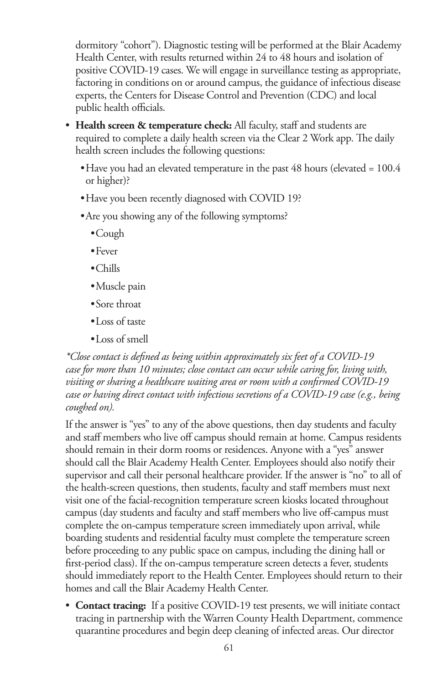dormitory "cohort"). Diagnostic testing will be performed at the Blair Academy Health Center, with results returned within 24 to 48 hours and isolation of positive COVID-19 cases. We will engage in surveillance testing as appropriate, factoring in conditions on or around campus, the guidance of infectious disease experts, the Centers for Disease Control and Prevention (CDC) and local public health officials.

- **Health screen & temperature check:** All faculty, staff and students are required to complete a daily health screen via the Clear 2 Work app. The daily health screen includes the following questions:
	- Have you had an elevated temperature in the past 48 hours (elevated = 100.4) or higher)?
	- •Have you been recently diagnosed with COVID 19?
	- •Are you showing any of the following symptoms?
		- •Cough
		- •Fever
		- •Chills
		- •Muscle pain
		- •Sore throat
		- •Loss of taste
		- •Loss of smell

*\*Close contact is defined as being within approximately six feet of a COVID-19 case for more than 10 minutes; close contact can occur while caring for, living with, visiting or sharing a healthcare waiting area or room with a confirmed COVID-19 case or having direct contact with infectious secretions of a COVID-19 case (e.g., being coughed on).*

If the answer is "yes" to any of the above questions, then day students and faculty and staff members who live off campus should remain at home. Campus residents should remain in their dorm rooms or residences. Anyone with a "yes" answer should call the Blair Academy Health Center. Employees should also notify their supervisor and call their personal healthcare provider. If the answer is "no" to all of the health-screen questions, then students, faculty and staff members must next visit one of the facial-recognition temperature screen kiosks located throughout campus (day students and faculty and staff members who live off-campus must complete the on-campus temperature screen immediately upon arrival, while boarding students and residential faculty must complete the temperature screen before proceeding to any public space on campus, including the dining hall or first-period class). If the on-campus temperature screen detects a fever, students should immediately report to the Health Center. Employees should return to their homes and call the Blair Academy Health Center.

• **Contact tracing:** If a positive COVID-19 test presents, we will initiate contact tracing in partnership with the Warren County Health Department, commence quarantine procedures and begin deep cleaning of infected areas. Our director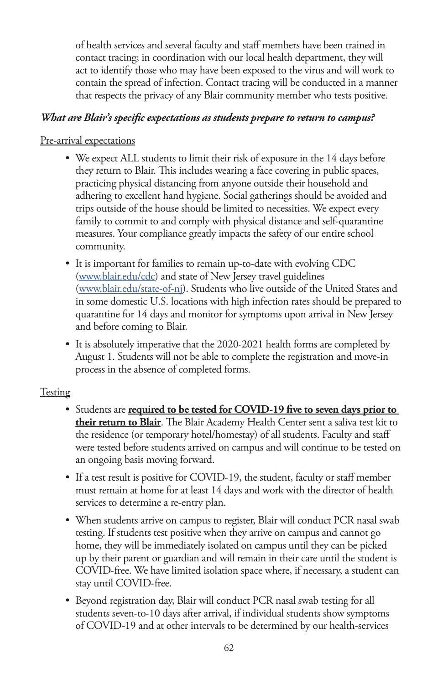of health services and several faculty and staff members have been trained in contact tracing; in coordination with our local health department, they will act to identify those who may have been exposed to the virus and will work to contain the spread of infection. Contact tracing will be conducted in a manner that respects the privacy of any Blair community member who tests positive.

#### *What are Blair's specific expectations as students prepare to return to campus?*

#### Pre-arrival expectations

- We expect ALL students to limit their risk of exposure in the 14 days before they return to Blair. This includes wearing a face covering in public spaces, practicing physical distancing from anyone outside their household and adhering to excellent hand hygiene. Social gatherings should be avoided and trips outside of the house should be limited to necessities. We expect every family to commit to and comply with physical distance and self-quarantine measures. Your compliance greatly impacts the safety of our entire school community.
- It is important for families to remain up-to-date with evolving CDC (www.blair.edu/cdc) and state of New Jersey travel guidelines (www.blair.edu/state-of-nj). Students who live outside of the United States and in some domestic U.S. locations with high infection rates should be prepared to quarantine for 14 days and monitor for symptoms upon arrival in New Jersey and before coming to Blair.
- It is absolutely imperative that the 2020-2021 health forms are completed by August 1. Students will not be able to complete the registration and move-in process in the absence of completed forms.

#### **Testing**

- Students are **required to be tested for COVID-19 five to seven days prior to their return to Blair**. The Blair Academy Health Center sent a saliva test kit to the residence (or temporary hotel/homestay) of all students. Faculty and staff were tested before students arrived on campus and will continue to be tested on an ongoing basis moving forward.
- If a test result is positive for COVID-19, the student, faculty or staff member must remain at home for at least 14 days and work with the director of health services to determine a re-entry plan.
- When students arrive on campus to register, Blair will conduct PCR nasal swab testing. If students test positive when they arrive on campus and cannot go home, they will be immediately isolated on campus until they can be picked up by their parent or guardian and will remain in their care until the student is COVID-free. We have limited isolation space where, if necessary, a student can stay until COVID-free.
- Beyond registration day, Blair will conduct PCR nasal swab testing for all students seven-to-10 days after arrival, if individual students show symptoms of COVID-19 and at other intervals to be determined by our health-services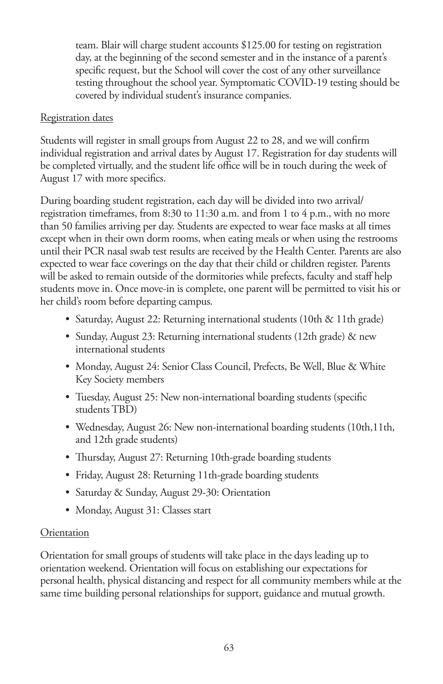team. Blair will charge student accounts \$125.00 for testing on registration day, at the beginning of the second semester and in the instance of a parent's specific request, but the School will cover the cost of any other surveillance testing throughout the school year. Symptomatic COVID-19 testing should be covered by individual student's insurance companies.

#### Registration dates

Students will register in small groups from August 22 to 28, and we will confirm individual registration and arrival dates by August 17. Registration for day students will be completed virtually, and the student life office will be in touch during the week of August 17 with more specifics.

During boarding student registration, each day will be divided into two arrival/ registration timeframes, from 8:30 to 11:30 a.m. and from 1 to 4 p.m., with no more than 50 families arriving per day. Students are expected to wear face masks at all times except when in their own dorm rooms, when eating meals or when using the restrooms until their PCR nasal swab test results are received by the Health Center. Parents are also expected to wear face coverings on the day that their child or children register. Parents will be asked to remain outside of the dormitories while prefects, faculty and staff help students move in. Once move-in is complete, one parent will be permitted to visit his or her child's room before departing campus.

- Saturday, August 22: Returning international students (10th & 11th grade)
- Sunday, August 23: Returning international students (12th grade) & new international students
- Monday, August 24: Senior Class Council, Prefects, Be Well, Blue & White Key Society members
- Tuesday, August 25: New non-international boarding students (specific students TBD)
- Wednesday, August 26: New non-international boarding students (10th, 11th, and 12th grade students)
- Thursday, August 27: Returning 10th-grade boarding students
- Friday, August 28: Returning 11th-grade boarding students
- Saturday & Sunday, August 29-30: Orientation
- Monday, August 31: Classes start

#### **Orientation**

Orientation for small groups of students will take place in the days leading up to orientation weekend. Orientation will focus on establishing our expectations for personal health, physical distancing and respect for all community members while at the same time building personal relationships for support, guidance and mutual growth.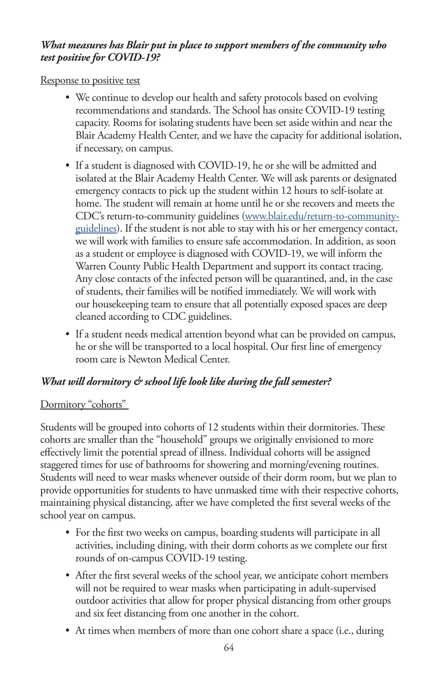#### *What measures has Blair put in place to support members of the community who test positive for COVID-19?*

Response to positive test

- We continue to develop our health and safety protocols based on evolving recommendations and standards. The School has onsite COVID-19 testing capacity. Rooms for isolating students have been set aside within and near the Blair Academy Health Center, and we have the capacity for additional isolation, if necessary, on campus.
- If a student is diagnosed with COVID-19, he or she will be admitted and isolated at the Blair Academy Health Center. We will ask parents or designated emergency contacts to pick up the student within 12 hours to self-isolate at home. The student will remain at home until he or she recovers and meets the CDC's return-to-community guidelines (www.blair.edu/return-to-communityguidelines). If the student is not able to stay with his or her emergency contact, we will work with families to ensure safe accommodation. In addition, as soon as a student or employee is diagnosed with COVID-19, we will inform the Warren County Public Health Department and support its contact tracing. Any close contacts of the infected person will be quarantined, and, in the case of students, their families will be notified immediately. We will work with our housekeeping team to ensure that all potentially exposed spaces are deep cleaned according to CDC guidelines.
- If a student needs medical attention beyond what can be provided on campus, he or she will be transported to a local hospital. Our first line of emergency room care is Newton Medical Center.

#### *What will dormitory & school life look like during the fall semester?*

#### Dormitory "cohorts"

Students will be grouped into cohorts of 12 students within their dormitories. These cohorts are smaller than the "household" groups we originally envisioned to more effectively limit the potential spread of illness. Individual cohorts will be assigned staggered times for use of bathrooms for showering and morning/evening routines. Students will need to wear masks whenever outside of their dorm room, but we plan to provide opportunities for students to have unmasked time with their respective cohorts, maintaining physical distancing, after we have completed the first several weeks of the school year on campus.

- For the first two weeks on campus, boarding students will participate in all activities, including dining, with their dorm cohorts as we complete our first rounds of on-campus COVID-19 testing.
- After the first several weeks of the school year, we anticipate cohort members will not be required to wear masks when participating in adult-supervised outdoor activities that allow for proper physical distancing from other groups and six feet distancing from one another in the cohort.
- At times when members of more than one cohort share a space (i.e., during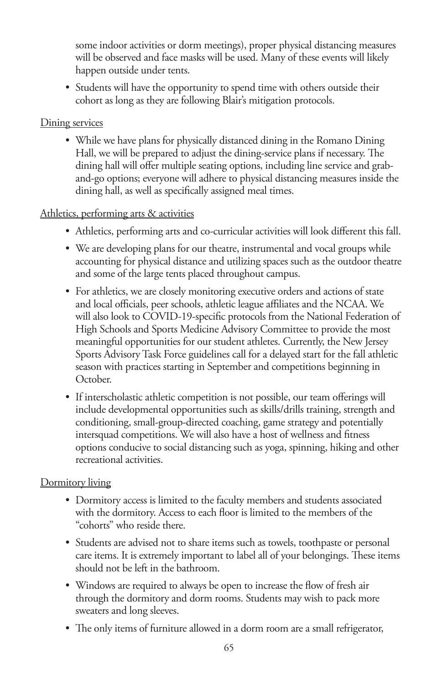some indoor activities or dorm meetings), proper physical distancing measures will be observed and face masks will be used. Many of these events will likely happen outside under tents.

• Students will have the opportunity to spend time with others outside their cohort as long as they are following Blair's mitigation protocols.

#### Dining services

• While we have plans for physically distanced dining in the Romano Dining Hall, we will be prepared to adjust the dining-service plans if necessary. The dining hall will offer multiple seating options, including line service and graband-go options; everyone will adhere to physical distancing measures inside the dining hall, as well as specifically assigned meal times.

#### Athletics, performing arts & activities

- Athletics, performing arts and co-curricular activities will look different this fall.
- We are developing plans for our theatre, instrumental and vocal groups while accounting for physical distance and utilizing spaces such as the outdoor theatre and some of the large tents placed throughout campus.
- For athletics, we are closely monitoring executive orders and actions of state and local officials, peer schools, athletic league affiliates and the NCAA. We will also look to COVID-19-specific protocols from the National Federation of High Schools and Sports Medicine Advisory Committee to provide the most meaningful opportunities for our student athletes. Currently, the New Jersey Sports Advisory Task Force guidelines call for a delayed start for the fall athletic season with practices starting in September and competitions beginning in October.
- If interscholastic athletic competition is not possible, our team offerings will include developmental opportunities such as skills/drills training, strength and conditioning, small-group-directed coaching, game strategy and potentially intersquad competitions. We will also have a host of wellness and fitness options conducive to social distancing such as yoga, spinning, hiking and other recreational activities.

#### Dormitory living

- Dormitory access is limited to the faculty members and students associated with the dormitory. Access to each floor is limited to the members of the "cohorts" who reside there.
- Students are advised not to share items such as towels, toothpaste or personal care items. It is extremely important to label all of your belongings. These items should not be left in the bathroom.
- Windows are required to always be open to increase the flow of fresh air through the dormitory and dorm rooms. Students may wish to pack more sweaters and long sleeves.
- The only items of furniture allowed in a dorm room are a small refrigerator,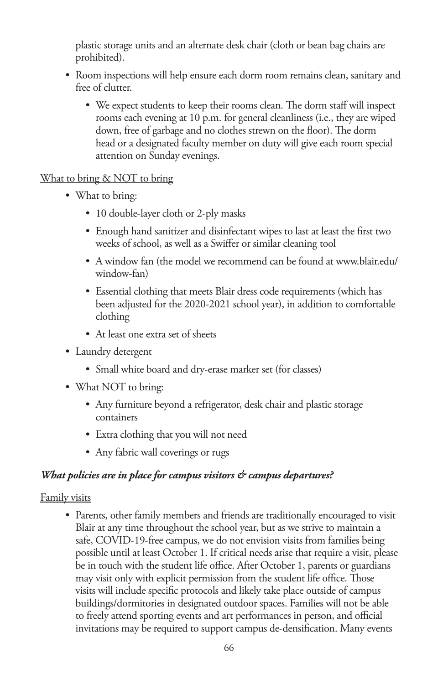plastic storage units and an alternate desk chair (cloth or bean bag chairs are prohibited).

- Room inspections will help ensure each dorm room remains clean, sanitary and free of clutter.
	- We expect students to keep their rooms clean. The dorm staff will inspect rooms each evening at 10 p.m. for general cleanliness (i.e., they are wiped down, free of garbage and no clothes strewn on the floor). The dorm head or a designated faculty member on duty will give each room special attention on Sunday evenings.

#### What to bring & NOT to bring

- What to bring:
	- 10 double-layer cloth or 2-ply masks
	- Enough hand sanitizer and disinfectant wipes to last at least the first two weeks of school, as well as a Swiffer or similar cleaning tool
	- A window fan (the model we recommend can be found at www.blair.edu/ window-fan)
	- Essential clothing that meets Blair dress code requirements (which has been adjusted for the 2020-2021 school year), in addition to comfortable clothing
	- At least one extra set of sheets
- Laundry detergent
	- Small white board and dry-erase marker set (for classes)
- What NOT to bring:
	- Any furniture beyond a refrigerator, desk chair and plastic storage containers
	- Extra clothing that you will not need
	- Any fabric wall coverings or rugs

#### *What policies are in place for campus visitors & campus departures?*

#### Family visits

• Parents, other family members and friends are traditionally encouraged to visit Blair at any time throughout the school year, but as we strive to maintain a safe, COVID-19-free campus, we do not envision visits from families being possible until at least October 1. If critical needs arise that require a visit, please be in touch with the student life office. After October 1, parents or guardians may visit only with explicit permission from the student life office. Those visits will include specific protocols and likely take place outside of campus buildings/dormitories in designated outdoor spaces. Families will not be able to freely attend sporting events and art performances in person, and official invitations may be required to support campus de-densification. Many events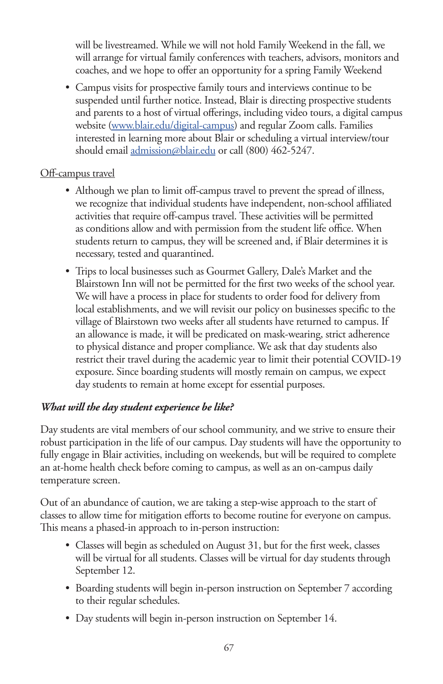will be livestreamed. While we will not hold Family Weekend in the fall, we will arrange for virtual family conferences with teachers, advisors, monitors and coaches, and we hope to offer an opportunity for a spring Family Weekend

• Campus visits for prospective family tours and interviews continue to be suspended until further notice. Instead, Blair is directing prospective students and parents to a host of virtual offerings, including video tours, a digital campus website (www.blair.edu/digital-campus) and regular Zoom calls. Families interested in learning more about Blair or scheduling a virtual interview/tour should email admission@blair.edu or call (800) 462-5247.

#### Off-campus travel

- Although we plan to limit off-campus travel to prevent the spread of illness, we recognize that individual students have independent, non-school affiliated activities that require off-campus travel. These activities will be permitted as conditions allow and with permission from the student life office. When students return to campus, they will be screened and, if Blair determines it is necessary, tested and quarantined.
- Trips to local businesses such as Gourmet Gallery, Dale's Market and the Blairstown Inn will not be permitted for the first two weeks of the school year. We will have a process in place for students to order food for delivery from local establishments, and we will revisit our policy on businesses specific to the village of Blairstown two weeks after all students have returned to campus. If an allowance is made, it will be predicated on mask-wearing, strict adherence to physical distance and proper compliance. We ask that day students also restrict their travel during the academic year to limit their potential COVID-19 exposure. Since boarding students will mostly remain on campus, we expect day students to remain at home except for essential purposes.

#### *What will the day student experience be like?*

Day students are vital members of our school community, and we strive to ensure their robust participation in the life of our campus. Day students will have the opportunity to fully engage in Blair activities, including on weekends, but will be required to complete an at-home health check before coming to campus, as well as an on-campus daily temperature screen.

Out of an abundance of caution, we are taking a step-wise approach to the start of classes to allow time for mitigation efforts to become routine for everyone on campus. This means a phased-in approach to in-person instruction:

- Classes will begin as scheduled on August 31, but for the first week, classes will be virtual for all students. Classes will be virtual for day students through September 12.
- Boarding students will begin in-person instruction on September 7 according to their regular schedules.
- Day students will begin in-person instruction on September 14.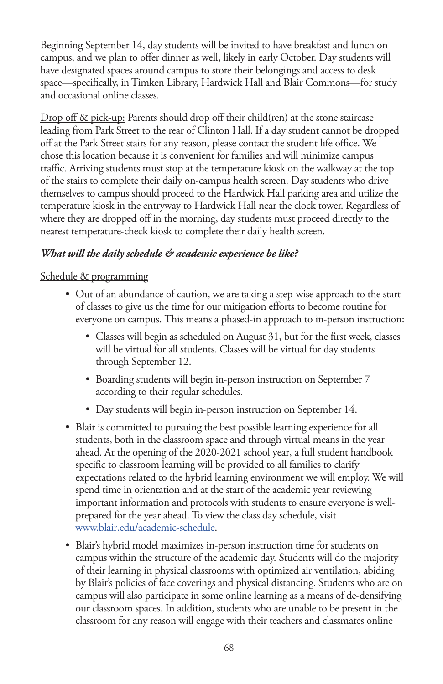Beginning September 14, day students will be invited to have breakfast and lunch on campus, and we plan to offer dinner as well, likely in early October. Day students will have designated spaces around campus to store their belongings and access to desk space—specifically, in Timken Library, Hardwick Hall and Blair Commons—for study and occasional online classes.

Drop off & pick-up: Parents should drop off their child(ren) at the stone staircase leading from Park Street to the rear of Clinton Hall. If a day student cannot be dropped off at the Park Street stairs for any reason, please contact the student life office. We chose this location because it is convenient for families and will minimize campus traffic. Arriving students must stop at the temperature kiosk on the walkway at the top of the stairs to complete their daily on-campus health screen. Day students who drive themselves to campus should proceed to the Hardwick Hall parking area and utilize the temperature kiosk in the entryway to Hardwick Hall near the clock tower. Regardless of where they are dropped off in the morning, day students must proceed directly to the nearest temperature-check kiosk to complete their daily health screen.

#### *What will the daily schedule & academic experience be like?*

#### Schedule & programming

- Out of an abundance of caution, we are taking a step-wise approach to the start of classes to give us the time for our mitigation efforts to become routine for everyone on campus. This means a phased-in approach to in-person instruction:
	- Classes will begin as scheduled on August 31, but for the first week, classes will be virtual for all students. Classes will be virtual for day students through September 12.
	- Boarding students will begin in-person instruction on September 7 according to their regular schedules.
	- Day students will begin in-person instruction on September 14.
- Blair is committed to pursuing the best possible learning experience for all students, both in the classroom space and through virtual means in the year ahead. At the opening of the 2020-2021 school year, a full student handbook specific to classroom learning will be provided to all families to clarify expectations related to the hybrid learning environment we will employ. We will spend time in orientation and at the start of the academic year reviewing important information and protocols with students to ensure everyone is wellprepared for the year ahead. To view the class day schedule, visit www.blair.edu/academic-schedule.
- Blair's hybrid model maximizes in-person instruction time for students on campus within the structure of the academic day. Students will do the majority of their learning in physical classrooms with optimized air ventilation, abiding by Blair's policies of face coverings and physical distancing. Students who are on campus will also participate in some online learning as a means of de-densifying our classroom spaces. In addition, students who are unable to be present in the classroom for any reason will engage with their teachers and classmates online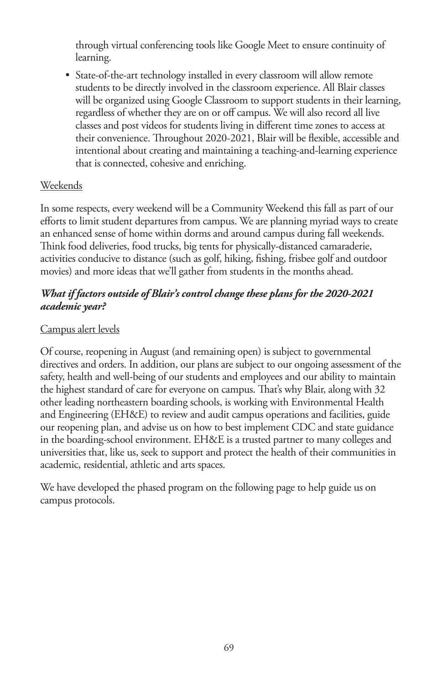through virtual conferencing tools like Google Meet to ensure continuity of learning.

• State-of-the-art technology installed in every classroom will allow remote students to be directly involved in the classroom experience. All Blair classes will be organized using Google Classroom to support students in their learning, regardless of whether they are on or off campus. We will also record all live classes and post videos for students living in different time zones to access at their convenience. Throughout 2020-2021, Blair will be flexible, accessible and intentional about creating and maintaining a teaching-and-learning experience that is connected, cohesive and enriching.

#### **Weekends**

In some respects, every weekend will be a Community Weekend this fall as part of our efforts to limit student departures from campus. We are planning myriad ways to create an enhanced sense of home within dorms and around campus during fall weekends. Think food deliveries, food trucks, big tents for physically-distanced camaraderie, activities conducive to distance (such as golf, hiking, fishing, frisbee golf and outdoor movies) and more ideas that we'll gather from students in the months ahead.

#### *What if factors outside of Blair's control change these plans for the 2020-2021 academic year?*

#### Campus alert levels

Of course, reopening in August (and remaining open) is subject to governmental directives and orders. In addition, our plans are subject to our ongoing assessment of the safety, health and well-being of our students and employees and our ability to maintain the highest standard of care for everyone on campus. That's why Blair, along with 32 other leading northeastern boarding schools, is working with Environmental Health and Engineering (EH&E) to review and audit campus operations and facilities, guide our reopening plan, and advise us on how to best implement CDC and state guidance in the boarding-school environment. EH&E is a trusted partner to many colleges and universities that, like us, seek to support and protect the health of their communities in academic, residential, athletic and arts spaces.

We have developed the phased program on the following page to help guide us on campus protocols.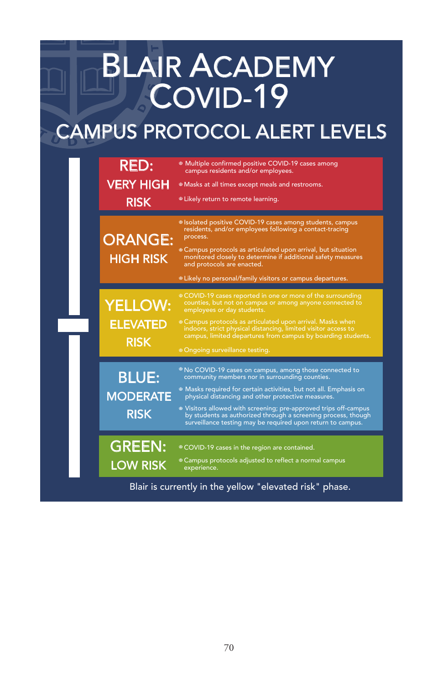# BLAIR ACADEMY COVID-19

# CAMPUS PROTOCOL ALERT LEVELS

|                                                         | <b>RED:</b><br><b>VERY HIGH</b><br><b>RISK</b>   | ● Multiple confirmed positive COVID-19 cases among<br>campus residents and/or employees.<br><sup>®</sup> Masks at all times except meals and restrooms.<br><sup>®</sup> Likely return to remote learning.                                                                                                                                                                                                                                                                                                          |
|---------------------------------------------------------|--------------------------------------------------|--------------------------------------------------------------------------------------------------------------------------------------------------------------------------------------------------------------------------------------------------------------------------------------------------------------------------------------------------------------------------------------------------------------------------------------------------------------------------------------------------------------------|
|                                                         | <b>ORANGE:</b><br><b>HIGH RISK</b>               | <sup>®</sup> Isolated positive COVID-19 cases among students, campus<br>residents, and/or employees following a contact-tracing<br>process.<br><sup>®</sup> Campus protocols as articulated upon arrival, but situation<br>monitored closely to determine if additional safety measures<br>and protocols are enacted.<br>• Likely no personal/family visitors or campus departures.                                                                                                                                |
|                                                         | <b>YELLOW:</b><br><b>ELEVATED</b><br><b>RISK</b> | © COVID-19 cases reported in one or more of the surrounding<br>counties, but not on campus or among anyone connected to<br>employees or day students.<br><sup>®</sup> Campus protocols as articulated upon arrival. Masks when<br>indoors, strict physical distancing, limited visitor access to<br>campus, limited departures from campus by boarding students.<br>· Ongoing surveillance testing.                                                                                                                |
|                                                         | <b>BLUE:</b><br><b>MODERATE</b><br><b>RISK</b>   | <sup>®</sup> No COVID-19 cases on campus, among those connected to<br>community members nor in surrounding counties.<br><sup>®</sup> Masks required for certain activities, but not all. Emphasis on<br>physical distancing and other protective measures.<br>lacktriangleright Visitors off-camps Visitors allowed visitors allowed with screening; pre-approved trips off-campus<br>by students as authorized through a screening process, though<br>surveillance testing may be required upon return to campus. |
|                                                         | <b>GREEN:</b><br><b>LOW RISK</b>                 | COVID-19 cases in the region are contained.<br><sup>®</sup> Campus protocols adjusted to reflect a normal campus<br>experience.                                                                                                                                                                                                                                                                                                                                                                                    |
| Blair is currently in the yellow "elevated risk" phase. |                                                  |                                                                                                                                                                                                                                                                                                                                                                                                                                                                                                                    |